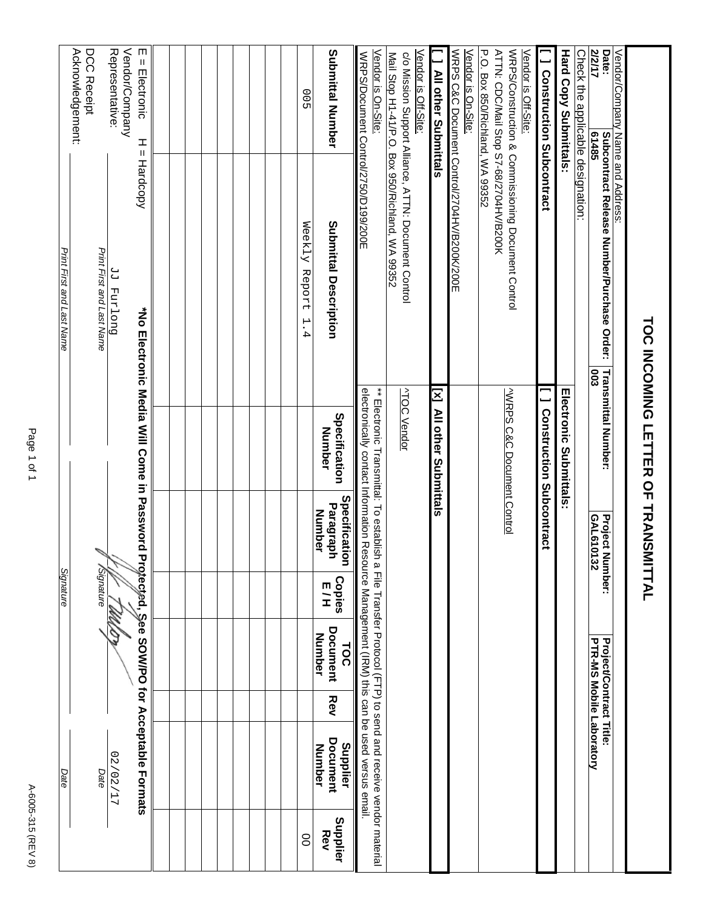| Print First and Last Name | Acknowledgement:<br>DCC Receipt | Print First and Last Name<br>Signature | Vendor/Company<br>Representative:<br>Duoland PP | m<br>$=$ Electronic<br>ᆂ<br>Ш<br>Hardcopy<br>*No Electronic Media Will Come in Password<br>Protected, See SOW/PO for Acceptable Formats |  |  |  |  |  |  | 00<br>Weekly Report<br>$\mathbf{H}$<br>4 | Submittal Number<br>Submittal Description<br>Specification<br>Number<br>Specification<br>Paragraph<br><b>Number</b><br><b>Copies</b><br>ロコ | Vendor is On-Site:<br>WRPS/Document Control/2750/D199/200E<br>** Electronic Transmittal: To establish a File Transfer Procol (FTP) to send and receive vendor material<br>electronically contact Information Resource Management (IRM) this can be used versus email | Mail Stop H1-41/P.O. Box 950/Richland, WA 99352<br><b>ATOC Vendor</b> | Vendor is Off-Site:<br>c/o Mission Support Alliance, ATTN: Document Control | All other Submittals<br>IN MI other Superittais | WRPS C&C Document Control/2704HV/B200K/200E<br>Vendor is On-Site: | P.O. Box 850/Richland, WA 99352<br>ATTN: CDC/Mail Stop S7-68/2704HV/B200K | WRPS/Construction & Commissioning Document Control<br><b>VWRPS C&amp;C Document Control</b> | Vendor is Off-Site: | <b>J</b> Construction Subcontract<br><b>Construction Subcontract</b> | <b>Hard Copy Submittals</b><br><b>Infectronic Submittals:</b> | Check the applic <u>able designation:</u> | <b>Z12/17</b><br>Date:<br>61485<br><b>Subcontract Release Number/Purchase Order:</b><br><b>Transmittal Number:</b><br><b>COO</b><br>GAL610132<br><b>Project N</b><br>umber: | Vendor/Company Name and Address: | TOC INCOMING LETTER OF TRANSMITTAL |
|---------------------------|---------------------------------|----------------------------------------|-------------------------------------------------|-----------------------------------------------------------------------------------------------------------------------------------------|--|--|--|--|--|--|------------------------------------------|--------------------------------------------------------------------------------------------------------------------------------------------|----------------------------------------------------------------------------------------------------------------------------------------------------------------------------------------------------------------------------------------------------------------------|-----------------------------------------------------------------------|-----------------------------------------------------------------------------|-------------------------------------------------|-------------------------------------------------------------------|---------------------------------------------------------------------------|---------------------------------------------------------------------------------------------|---------------------|----------------------------------------------------------------------|---------------------------------------------------------------|-------------------------------------------|-----------------------------------------------------------------------------------------------------------------------------------------------------------------------------|----------------------------------|------------------------------------|
| Signature                 |                                 |                                        |                                                 |                                                                                                                                         |  |  |  |  |  |  |                                          |                                                                                                                                            |                                                                                                                                                                                                                                                                      |                                                                       |                                                                             |                                                 |                                                                   |                                                                           |                                                                                             |                     |                                                                      |                                                               |                                           |                                                                                                                                                                             |                                  |                                    |
|                           |                                 |                                        |                                                 |                                                                                                                                         |  |  |  |  |  |  |                                          | Document<br>Number<br>TOC<br>Rev                                                                                                           |                                                                                                                                                                                                                                                                      |                                                                       |                                                                             |                                                 |                                                                   |                                                                           |                                                                                             |                     |                                                                      |                                                               |                                           | PTR-MS Mobile Laboratory<br><b>Project/Contract Title:</b>                                                                                                                  |                                  |                                    |
| Date                      |                                 | Date                                   | 17/202/27                                       |                                                                                                                                         |  |  |  |  |  |  |                                          | Document<br>Supplier<br>Number                                                                                                             |                                                                                                                                                                                                                                                                      |                                                                       |                                                                             |                                                 |                                                                   |                                                                           |                                                                                             |                     |                                                                      |                                                               |                                           |                                                                                                                                                                             |                                  |                                    |
|                           |                                 |                                        |                                                 |                                                                                                                                         |  |  |  |  |  |  | 8                                        | Supplier<br>Rev                                                                                                                            |                                                                                                                                                                                                                                                                      |                                                                       |                                                                             |                                                 |                                                                   |                                                                           |                                                                                             |                     |                                                                      |                                                               |                                           |                                                                                                                                                                             |                                  |                                    |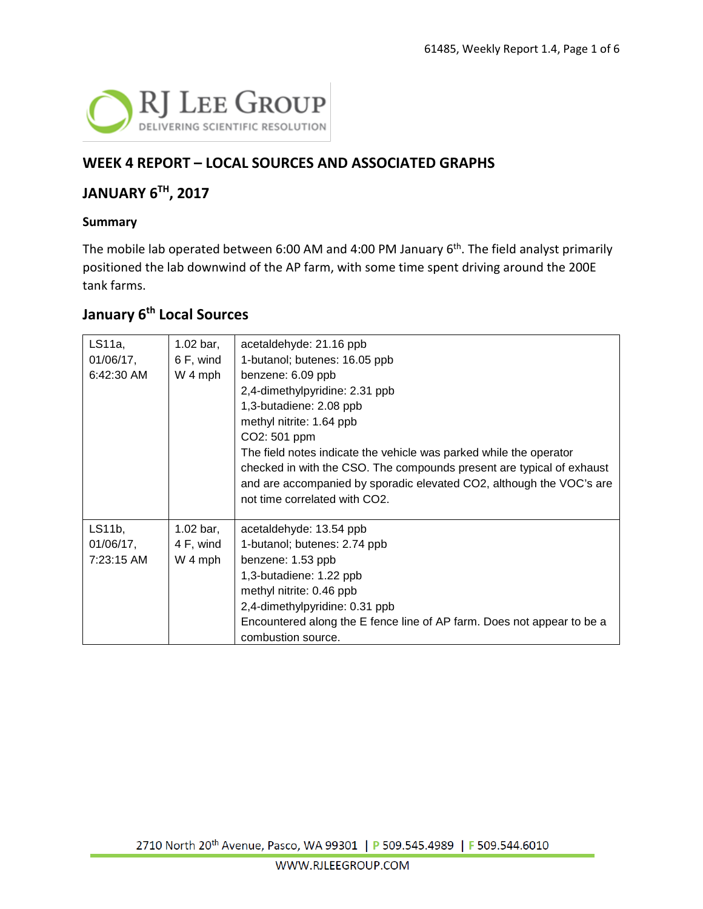

### **WEEK 4 REPORT – LOCAL SOURCES AND ASSOCIATED GRAPHS**

### **JANUARY 6TH, 2017**

#### **Summary**

The mobile lab operated between 6:00 AM and 4:00 PM January 6<sup>th</sup>. The field analyst primarily positioned the lab downwind of the AP farm, with some time spent driving around the 200E tank farms.

### **January 6th Local Sources**

| LS11a,<br>01/06/17,<br>6:42:30 AM | $1.02$ bar,<br>6 F, wind<br>W 4 mph | acetaldehyde: 21.16 ppb<br>1-butanol; butenes: 16.05 ppb<br>benzene: 6.09 ppb<br>2,4-dimethylpyridine: 2.31 ppb<br>1,3-butadiene: 2.08 ppb<br>methyl nitrite: 1.64 ppb<br>CO2: 501 ppm<br>The field notes indicate the vehicle was parked while the operator<br>checked in with the CSO. The compounds present are typical of exhaust<br>and are accompanied by sporadic elevated CO2, although the VOC's are<br>not time correlated with CO2. |
|-----------------------------------|-------------------------------------|------------------------------------------------------------------------------------------------------------------------------------------------------------------------------------------------------------------------------------------------------------------------------------------------------------------------------------------------------------------------------------------------------------------------------------------------|
| LS11b,<br>$01/06/17$ ,            | 1.02 bar,<br>4 F, wind              | acetaldehyde: 13.54 ppb<br>1-butanol; butenes: 2.74 ppb                                                                                                                                                                                                                                                                                                                                                                                        |
| 7:23:15 AM                        | W 4 mph                             | benzene: 1.53 ppb                                                                                                                                                                                                                                                                                                                                                                                                                              |
|                                   |                                     | 1,3-butadiene: 1.22 ppb                                                                                                                                                                                                                                                                                                                                                                                                                        |
|                                   |                                     | methyl nitrite: 0.46 ppb                                                                                                                                                                                                                                                                                                                                                                                                                       |
|                                   |                                     | 2,4-dimethylpyridine: 0.31 ppb                                                                                                                                                                                                                                                                                                                                                                                                                 |
|                                   |                                     | Encountered along the E fence line of AP farm. Does not appear to be a<br>combustion source.                                                                                                                                                                                                                                                                                                                                                   |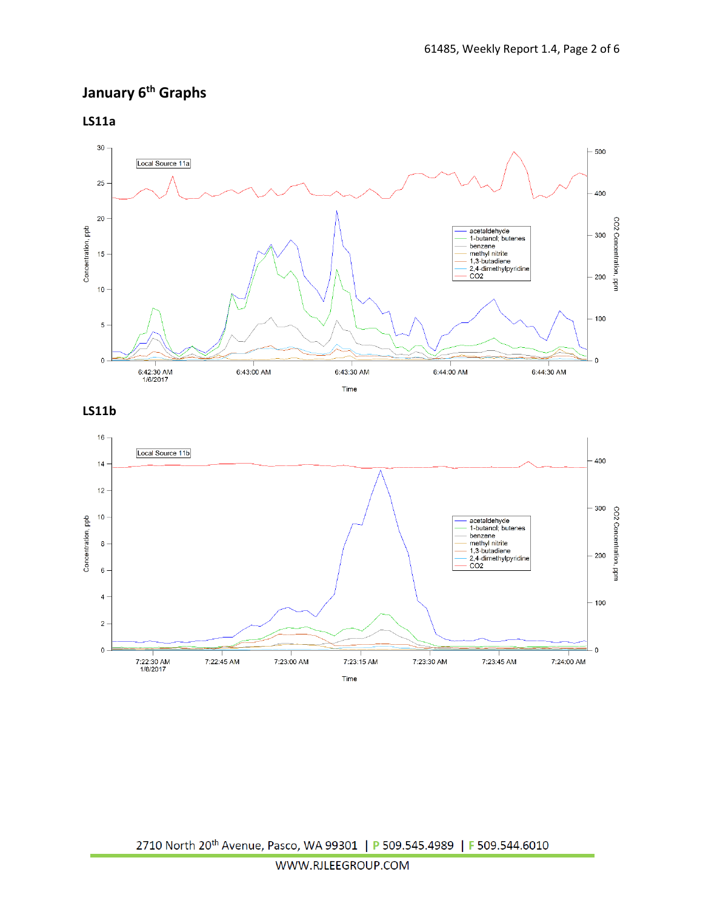## **January 6th Graphs**

**LS11a**



#### **LS11b**

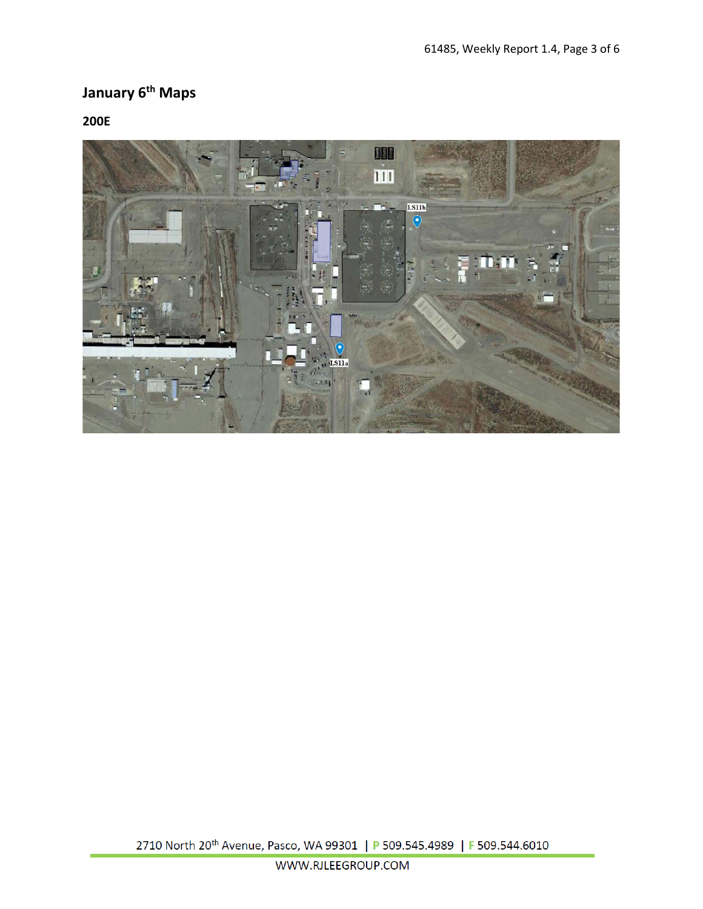# **January 6th Maps**

#### **200E**

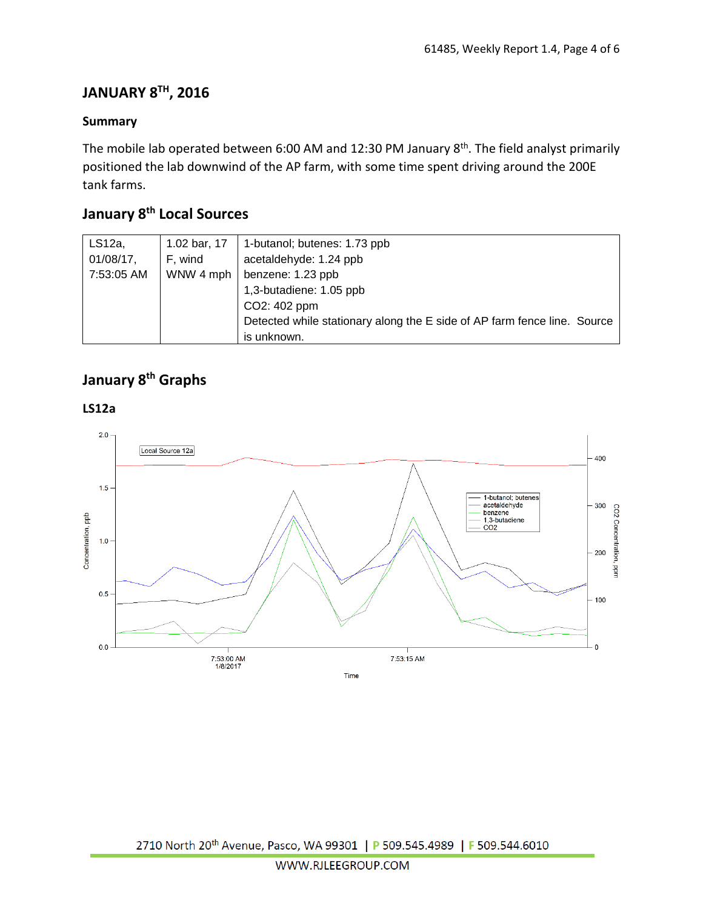### **JANUARY 8TH, 2016**

#### **Summary**

The mobile lab operated between 6:00 AM and 12:30 PM January 8<sup>th</sup>. The field analyst primarily positioned the lab downwind of the AP farm, with some time spent driving around the 200E tank farms.

## **January 8th Local Sources**

| $LS12a$ ,    | 1.02 bar, 17 | 1-butanol; butenes: 1.73 ppb                                             |
|--------------|--------------|--------------------------------------------------------------------------|
| $01/08/17$ , | F, wind      | acetaldehyde: 1.24 ppb                                                   |
| 7:53:05 AM   |              | WNW 4 mph $\vert$ benzene: 1.23 ppb                                      |
|              |              | 1,3-butadiene: 1.05 ppb                                                  |
|              |              | CO2: 402 ppm                                                             |
|              |              | Detected while stationary along the E side of AP farm fence line. Source |
|              |              | is unknown.                                                              |

## **January 8th Graphs**



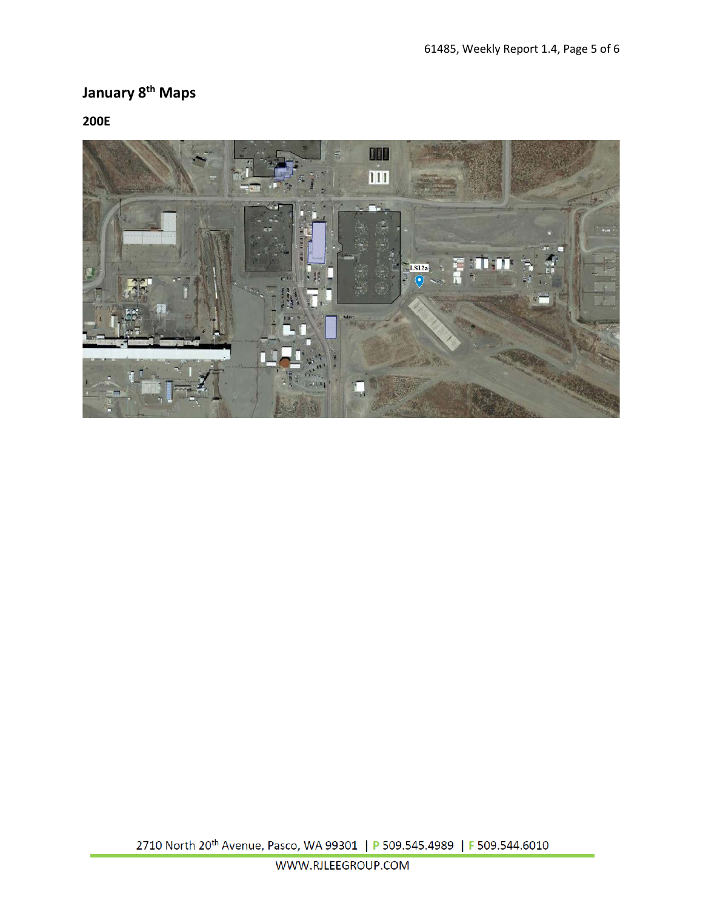# **January 8th Maps**

#### **200E**